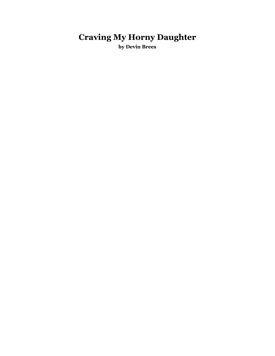# **Craving My Horny Daughter**

**by Devin Brees**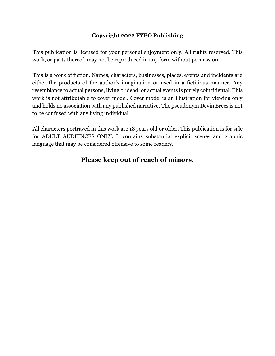#### **Copyright 2022 FYEO Publishing**

This publication is licensed for your personal enjoyment only. All rights reserved. This work, or parts thereof, may not be reproduced in any form without permission.

This is a work of fiction. Names, characters, businesses, places, events and incidents are either the products of the author's imagination or used in a fictitious manner. Any resemblance to actual persons, living or dead, or actual events is purely coincidental. This work is not attributable to cover model. Cover model is an illustration for viewing only and holds no association with any published narrative. The pseudonym Devin Brees is not to be confused with any living individual.

All characters portrayed in this work are 18 years old or older. This publication is for sale for ADULT AUDIENCES ONLY. It contains substantial explicit scenes and graphic language that may be considered offensive to some readers.

## **Please keep out of reach of minors.**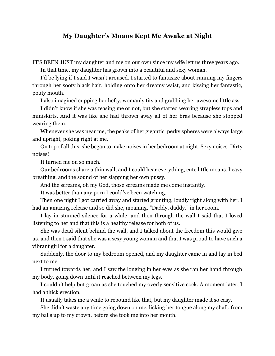#### **My Daughter's Moans Kept Me Awake at Night**

IT'S BEEN JUST my daughter and me on our own since my wife left us three years ago.

In that time, my daughter has grown into a beautiful and sexy woman.

I'd be lying if I said I wasn't aroused. I started to fantasize about running my fingers through her sooty black hair, holding onto her dreamy waist, and kissing her fantastic, pouty mouth.

I also imagined cupping her hefty, womanly tits and grabbing her awesome little ass.

I didn't know if she was teasing me or not, but she started wearing strapless tops and miniskirts. And it was like she had thrown away all of her bras because she stopped wearing them.

Whenever she was near me, the peaks of her gigantic, perky spheres were always large and upright, poking right at me.

On top of all this, she began to make noises in her bedroom at night. Sexy noises. Dirty noises!

It turned me on so much.

Our bedrooms share a thin wall, and I could hear everything, cute little moans, heavy breathing, and the sound of her slapping her own pussy.

And the screams, oh my God, those screams made me come instantly.

It was better than any porn I could've been watching.

Then one night I got carried away and started grunting, loudly right along with her. I had an amazing release and so did she, moaning, "Daddy, daddy," in her room.

I lay in stunned silence for a while, and then through the wall I said that I loved listening to her and that this is a healthy release for both of us.

She was dead silent behind the wall, and I talked about the freedom this would give us, and then I said that she was a sexy young woman and that I was proud to have such a vibrant girl for a daughter.

Suddenly, the door to my bedroom opened, and my daughter came in and lay in bed next to me.

I turned towards her, and I saw the longing in her eyes as she ran her hand through my body, going down until it reached between my legs.

I couldn't help but groan as she touched my overly sensitive cock. A moment later, I had a thick erection.

It usually takes me a while to rebound like that, but my daughter made it so easy.

She didn't waste any time going down on me, licking her tongue along my shaft, from my balls up to my crown, before she took me into her mouth.